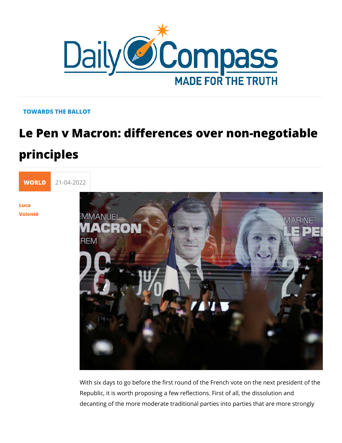## TOWARDS THE BALLOT

## Le Pen v Macron: differences over non principles

[WORL](https://newdailycompass.com/en/world)I 21-04-2022

[Luc](/en/luca-volonte-1)a [Volon](/en/luca-volonte-1)tè

> With six days to go before the first round of the French vote o Republic, it is worth proposing a few reflections. First of all, decanting of the more moderate traditional parties into parties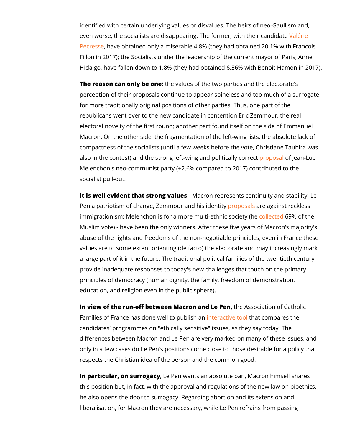identified with certain underlying values or disvalues. The hei even worse, the socialists are disappearing. The foundering with [Pécre](https://www.valeursactuelles.com/clubvaleurs/politique/presidentielle-apres-leffondrement-de-leur-parti-les-republicains-sinterrogent-sur-leur-avenir/)ssheave obtained only a miserable  $4.8\%$  (they had obtaine Fillon in 2017); the Socialists under the leadership of the curr Hidalgo, have fallen down to 1.8% (they had obtained 6.36% w

The reason can only the onatues of the two parties and the elec perception of their proposals continue to appear spineless and for more traditionally original positions of other parties. Thus republicans went over to the new candidate in contention Eric electoral novelty of the first round; another part found itself o Macron. On the other side, the fragmentation of the left-wing I compactness of the socialists (until a few weeks before the vo also in the contest) and the strong left-wing rapdspoolite aal Lyuco Melenchon's neo-communist party  $(+2.6\%$  compared to 2017) com socialist pull-out.

It is well evident that strong Mvaxelruoens represents continuity and stability, Let a Pen a patriotism of change, Zemmouprroands beis seidgathtsyt reckless immigrationism; Melenchon is for a more mubdlil-eedh**6n91**% socfoni**be**y ( Muslim vote) - have been the only winners. After these five ye abuse of the rights and freedoms of the non-negotiable princip values are to some extent orienting (de facto) the electorate a a large part of it in the future. The traditional political familie provide inadequate responses to today's new challenges that t principles of democracy (human dignity, the family, freedom of education, and religion even in the public sphere).

In view of the run-off between Macrontheen & slse Piention of Cathol Families of France has done well tetroa optubleitshbanded nompares the candidates' programmes on "ethically sensitive" issues, as the differences between Macron and Le Pen are very marked on many of the section of the sense is the sense is the t only in a few cases do Le Pen's positions come close to those respects the Christian idea of the person and the common goo

In particular, on surrlog a Peyn wants an absolute ban, Macron him this position but, in fact, with the approval and regulations of he also opens the door to surrogacy. Regarding abortion and i liberalisation, for Macron they are necessary, while Le Pen ref